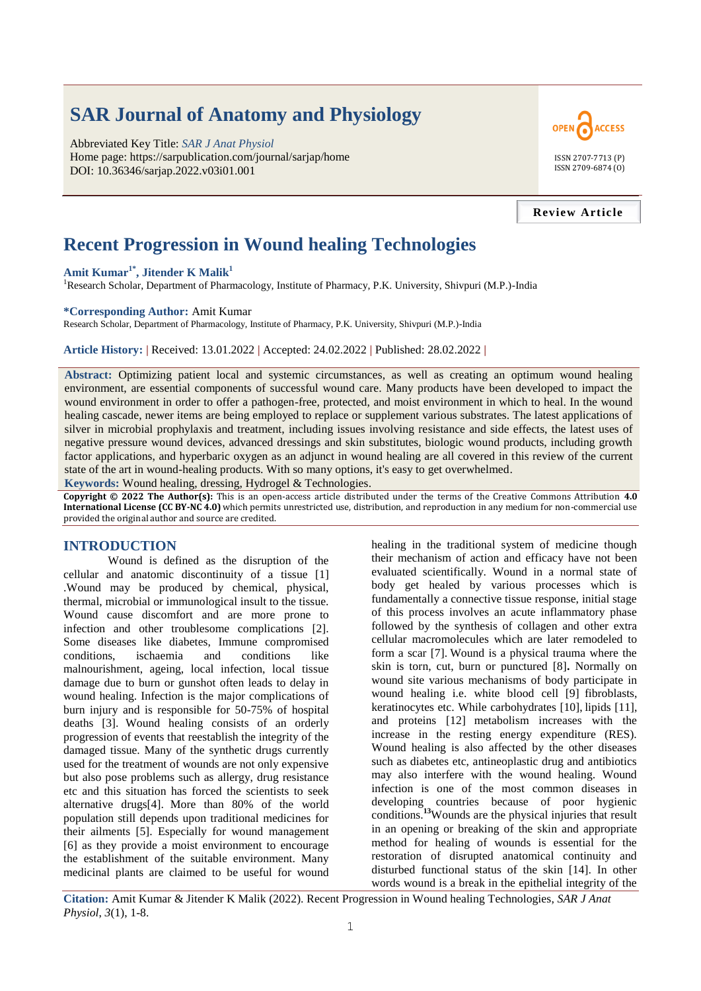# **SAR Journal of Anatomy and Physiology**

Abbreviated Key Title: *SAR J Anat Physiol* Home page: https://sarpublication.com/journal/sarjap/home DOI: 10.36346/sarjap.2022.v03i01.001



## **Review Article**

# **Recent Progression in Wound healing Technologies**

## **Amit Kumar1\*, Jitender K Malik<sup>1</sup>**

<sup>1</sup>Research Scholar, Department of Pharmacology, Institute of Pharmacy, P.K. University, Shivpuri (M.P.)-India

#### **\*Corresponding Author:** Amit Kumar

Research Scholar, Department of Pharmacology, Institute of Pharmacy, P.K. University, Shivpuri (M.P.)-India

**Article History: |** Received: 13.01.2022 **|** Accepted: 24.02.2022 **|** Published: 28.02.2022 **|**

**Abstract:** Optimizing patient local and systemic circumstances, as well as creating an optimum wound healing environment, are essential components of successful wound care. Many products have been developed to impact the wound environment in order to offer a pathogen-free, protected, and moist environment in which to heal. In the wound healing cascade, newer items are being employed to replace or supplement various substrates. The latest applications of silver in microbial prophylaxis and treatment, including issues involving resistance and side effects, the latest uses of negative pressure wound devices, advanced dressings and skin substitutes, biologic wound products, including growth factor applications, and hyperbaric oxygen as an adjunct in wound healing are all covered in this review of the current state of the art in wound-healing products. With so many options, it's easy to get overwhelmed.

**Keywords:** Wound healing, dressing, Hydrogel & Technologies.

**Copyright © 2022 The Author(s):** This is an open-access article distributed under the terms of the Creative Commons Attribution **4.0 International License (CC BY-NC 4.0)** which permits unrestricted use, distribution, and reproduction in any medium for non-commercial use provided the original author and source are credited.

# **INTRODUCTION**

Wound is defined as the disruption of the cellular and anatomic discontinuity of a tissue [1] .Wound may be produced by chemical, physical, thermal, microbial or immunological insult to the tissue. Wound cause discomfort and are more prone to infection and other troublesome complications [2]. Some diseases like diabetes, Immune compromised conditions, ischaemia and conditions like malnourishment, ageing, local infection, local tissue damage due to burn or gunshot often leads to delay in wound healing. Infection is the major complications of burn injury and is responsible for 50-75% of hospital deaths [3]. Wound healing consists of an orderly progression of events that reestablish the integrity of the damaged tissue. Many of the synthetic drugs currently used for the treatment of wounds are not only expensive but also pose problems such as allergy, drug resistance etc and this situation has forced the scientists to seek alternative drugs[4]. More than 80% of the world population still depends upon traditional medicines for their ailments [5]. Especially for wound management [6] as they provide a moist environment to encourage the establishment of the suitable environment. Many medicinal plants are claimed to be useful for wound

healing in the traditional system of medicine though their mechanism of action and efficacy have not been evaluated scientifically. Wound in a normal state of body get healed by various processes which is fundamentally a connective tissue response, initial stage of this process involves an acute inflammatory phase followed by the synthesis of collagen and other extra cellular macromolecules which are later remodeled to form a scar [7]. Wound is a physical trauma where the skin is torn, cut, burn or punctured [8]**.** Normally on wound site various mechanisms of body participate in wound healing i.e. white blood cell [9] fibroblasts, keratinocytes etc. While carbohydrates [10], lipids [11], and proteins [12] metabolism increases with the increase in the resting energy expenditure (RES). Wound healing is also affected by the other diseases such as diabetes etc, antineoplastic drug and antibiotics may also interfere with the wound healing. Wound infection is one of the most common diseases in developing countries because of poor hygienic conditions.**<sup>13</sup>**Wounds are the physical injuries that result in an opening or breaking of the skin and appropriate method for healing of wounds is essential for the restoration of disrupted anatomical continuity and disturbed functional status of the skin [14]. In other words wound is a break in the epithelial integrity of the

**Citation:** Amit Kumar & Jitender K Malik (2022). Recent Progression in Wound healing Technologies, *SAR J Anat Physiol*, *3*(1), 1-8.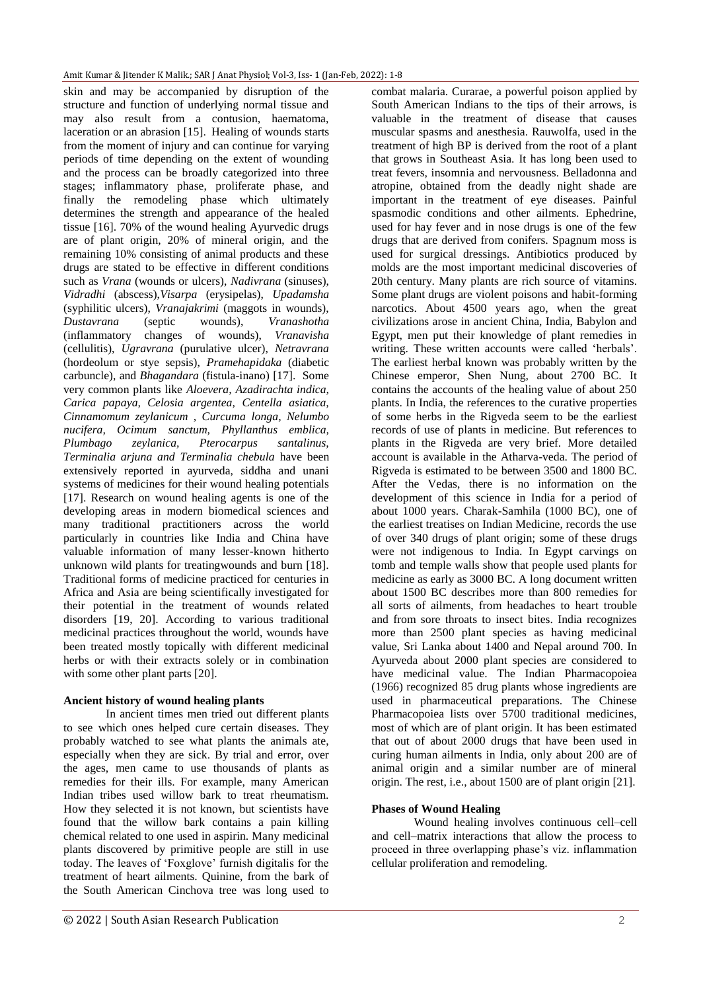skin and may be accompanied by disruption of the structure and function of underlying normal tissue and may also result from a contusion, haematoma, laceration or an abrasion [15]. Healing of wounds starts from the moment of injury and can continue for varying periods of time depending on the extent of wounding and the process can be broadly categorized into three stages; inflammatory phase, proliferate phase, and finally the remodeling phase which ultimately determines the strength and appearance of the healed tissue [16]. 70% of the wound healing Ayurvedic drugs are of plant origin, 20% of mineral origin, and the remaining 10% consisting of animal products and these drugs are stated to be effective in different conditions such as *Vrana* (wounds or ulcers), *Nadivrana* (sinuses), *Vidradhi* (abscess),*Visarpa* (erysipelas), *Upadamsha*  (syphilitic ulcers), *Vranajakrimi* (maggots in wounds), *Dustavrana* (septic wounds), *Vranashotha*  (inflammatory changes of wounds), *Vranavisha*  (cellulitis), *Ugravrana* (purulative ulcer), *Netravrana*  (hordeolum or stye sepsis), *Pramehapidaka* (diabetic carbuncle), and *Bhagandara* (fistula-inano) [17]. Some very common plants like *Aloevera, Azadirachta indica, Carica papaya, Celosia argentea, Centella asiatica, Cinnamomum zeylanicum , Curcuma longa, Nelumbo nucifera, Ocimum sanctum, Phyllanthus emblica, Plumbago zeylanica, Pterocarpus santalinus, Terminalia arjuna and Terminalia chebula* have been extensively reported in ayurveda, siddha and unani systems of medicines for their wound healing potentials [17]. Research on wound healing agents is one of the developing areas in modern biomedical sciences and many traditional practitioners across the world particularly in countries like India and China have valuable information of many lesser-known hitherto unknown wild plants for treatingwounds and burn [18]. Traditional forms of medicine practiced for centuries in Africa and Asia are being scientifically investigated for their potential in the treatment of wounds related disorders [19, 20]. According to various traditional medicinal practices throughout the world, wounds have been treated mostly topically with different medicinal herbs or with their extracts solely or in combination with some other plant parts [20].

# **Ancient history of wound healing plants**

In ancient times men tried out different plants to see which ones helped cure certain diseases. They probably watched to see what plants the animals ate, especially when they are sick. By trial and error, over the ages, men came to use thousands of plants as remedies for their ills. For example, many American Indian tribes used willow bark to treat rheumatism. How they selected it is not known, but scientists have found that the willow bark contains a pain killing chemical related to one used in aspirin. Many medicinal plants discovered by primitive people are still in use today. The leaves of 'Foxglove' furnish digitalis for the treatment of heart ailments. Quinine, from the bark of the South American Cinchova tree was long used to

combat malaria. Curarae, a powerful poison applied by South American Indians to the tips of their arrows, is valuable in the treatment of disease that causes muscular spasms and anesthesia. Rauwolfa, used in the treatment of high BP is derived from the root of a plant that grows in Southeast Asia. It has long been used to treat fevers, insomnia and nervousness. Belladonna and atropine, obtained from the deadly night shade are important in the treatment of eye diseases. Painful spasmodic conditions and other ailments. Ephedrine, used for hay fever and in nose drugs is one of the few drugs that are derived from conifers. Spagnum moss is used for surgical dressings. Antibiotics produced by molds are the most important medicinal discoveries of 20th century. Many plants are rich source of vitamins. Some plant drugs are violent poisons and habit-forming narcotics. About 4500 years ago, when the great civilizations arose in ancient China, India, Babylon and Egypt, men put their knowledge of plant remedies in writing. These written accounts were called 'herbals'. The earliest herbal known was probably written by the Chinese emperor, Shen Nung, about 2700 BC. It contains the accounts of the healing value of about 250 plants. In India, the references to the curative properties of some herbs in the Rigveda seem to be the earliest records of use of plants in medicine. But references to plants in the Rigveda are very brief. More detailed account is available in the Atharva-veda. The period of Rigveda is estimated to be between 3500 and 1800 BC. After the Vedas, there is no information on the development of this science in India for a period of about 1000 years. Charak-Samhila (1000 BC), one of the earliest treatises on Indian Medicine, records the use of over 340 drugs of plant origin; some of these drugs were not indigenous to India. In Egypt carvings on tomb and temple walls show that people used plants for medicine as early as 3000 BC. A long document written about 1500 BC describes more than 800 remedies for all sorts of ailments, from headaches to heart trouble and from sore throats to insect bites. India recognizes more than 2500 plant species as having medicinal value, Sri Lanka about 1400 and Nepal around 700. In Ayurveda about 2000 plant species are considered to have medicinal value. The Indian Pharmacopoiea (1966) recognized 85 drug plants whose ingredients are used in pharmaceutical preparations. The Chinese Pharmacopoiea lists over 5700 traditional medicines, most of which are of plant origin. It has been estimated that out of about 2000 drugs that have been used in curing human ailments in India, only about 200 are of animal origin and a similar number are of mineral origin. The rest, i.e., about 1500 are of plant origin [21].

## **Phases of Wound Healing**

Wound healing involves continuous cell–cell and cell–matrix interactions that allow the process to proceed in three overlapping phase's viz. inflammation cellular proliferation and remodeling.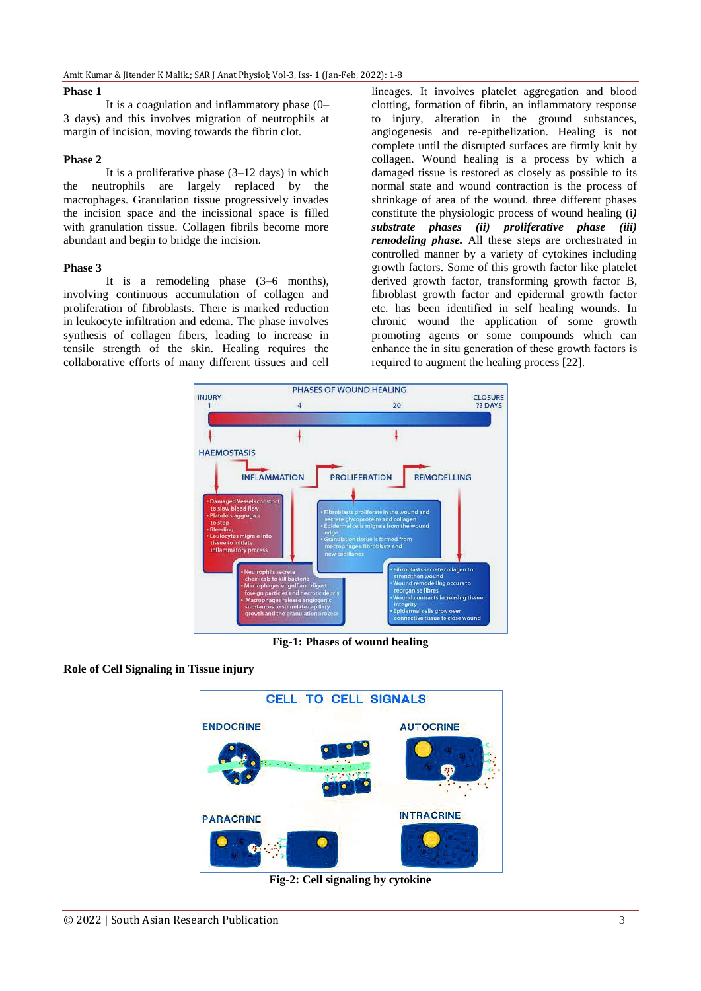#### **Phase 1**

It is a coagulation and inflammatory phase (0– 3 days) and this involves migration of neutrophils at margin of incision, moving towards the fibrin clot.

#### **Phase 2**

It is a proliferative phase  $(3-12 \text{ days})$  in which the neutrophils are largely replaced by the macrophages. Granulation tissue progressively invades the incision space and the incissional space is filled with granulation tissue. Collagen fibrils become more abundant and begin to bridge the incision.

#### **Phase 3**

It is a remodeling phase (3–6 months), involving continuous accumulation of collagen and proliferation of fibroblasts. There is marked reduction in leukocyte infiltration and edema. The phase involves synthesis of collagen fibers, leading to increase in tensile strength of the skin. Healing requires the collaborative efforts of many different tissues and cell

lineages. It involves platelet aggregation and blood clotting, formation of fibrin, an inflammatory response to injury, alteration in the ground substances, angiogenesis and re-epithelization. Healing is not complete until the disrupted surfaces are firmly knit by collagen. Wound healing is a process by which a damaged tissue is restored as closely as possible to its normal state and wound contraction is the process of shrinkage of area of the wound. three different phases constitute the physiologic process of wound healing (i*) substrate phases (ii) proliferative phase (iii) remodeling phase.* All these steps are orchestrated in controlled manner by a variety of cytokines including growth factors. Some of this growth factor like platelet derived growth factor, transforming growth factor B, fibroblast growth factor and epidermal growth factor etc. has been identified in self healing wounds. In chronic wound the application of some growth promoting agents or some compounds which can enhance the in situ generation of these growth factors is required to augment the healing process [22].



**Fig-1: Phases of wound healing**

## **Role of Cell Signaling in Tissue injury**



**Fig-2: Cell signaling by cytokine**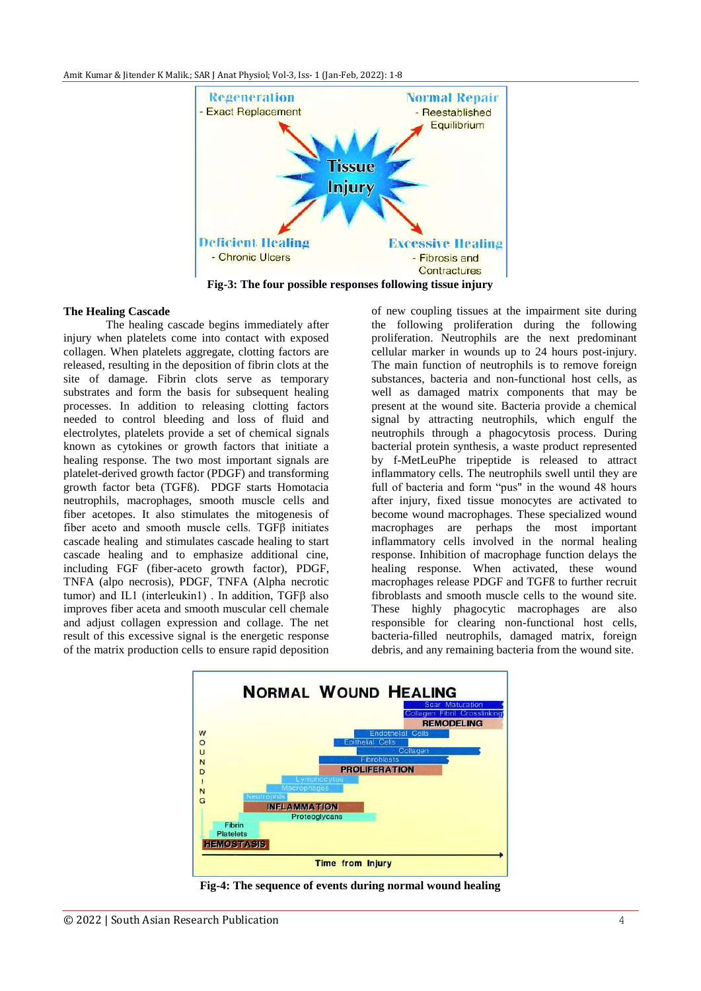

**Fig-3: The four possible responses following tissue injury**

#### **The Healing Cascade**

The healing cascade begins immediately after injury when platelets come into contact with exposed collagen. When platelets aggregate, clotting factors are released, resulting in the deposition of fibrin clots at the site of damage. Fibrin clots serve as temporary substrates and form the basis for subsequent healing processes. In addition to releasing clotting factors needed to control bleeding and loss of fluid and electrolytes, platelets provide a set of chemical signals known as cytokines or growth factors that initiate a healing response. The two most important signals are platelet-derived growth factor (PDGF) and transforming growth factor beta (TGFß). PDGF starts Homotacia neutrophils, macrophages, smooth muscle cells and fiber acetopes. It also stimulates the mitogenesis of fiber aceto and smooth muscle cells. TGFβ initiates cascade healing and stimulates cascade healing to start cascade healing and to emphasize additional cine, including FGF (fiber-aceto growth factor), PDGF, TNFA (alpo necrosis), PDGF, TNFA (Alpha necrotic tumor) and IL1 (interleukin1) . In addition, TGFβ also improves fiber aceta and smooth muscular cell chemale and adjust collagen expression and collage. The net result of this excessive signal is the energetic response of the matrix production cells to ensure rapid deposition

of new coupling tissues at the impairment site during the following proliferation during the following proliferation. Neutrophils are the next predominant cellular marker in wounds up to 24 hours post-injury. The main function of neutrophils is to remove foreign substances, bacteria and non-functional host cells, as well as damaged matrix components that may be present at the wound site. Bacteria provide a chemical signal by attracting neutrophils, which engulf the neutrophils through a phagocytosis process. During bacterial protein synthesis, a waste product represented by f-MetLeuPhe tripeptide is released to attract inflammatory cells. The neutrophils swell until they are full of bacteria and form "pus" in the wound 48 hours after injury, fixed tissue monocytes are activated to become wound macrophages. These specialized wound macrophages are perhaps the most important inflammatory cells involved in the normal healing response. Inhibition of macrophage function delays the healing response. When activated, these wound macrophages release PDGF and TGFß to further recruit fibroblasts and smooth muscle cells to the wound site. These highly phagocytic macrophages are also responsible for clearing non-functional host cells, bacteria-filled neutrophils, damaged matrix, foreign debris, and any remaining bacteria from the wound site.



**Fig-4: The sequence of events during normal wound healing**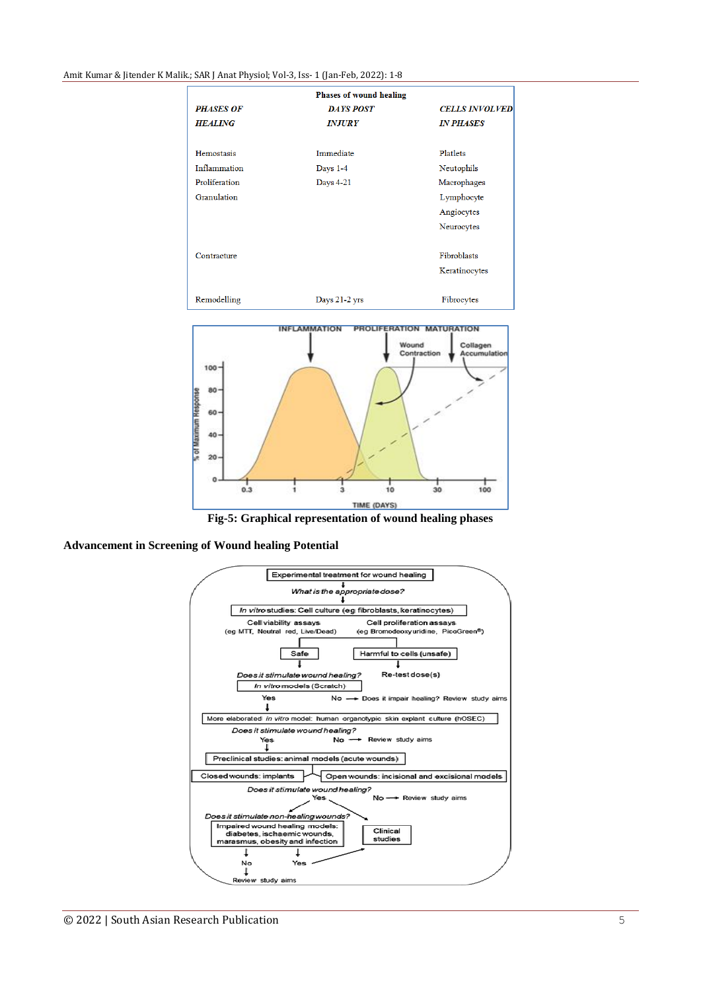Amit Kumar & Jitender K Malik*.*; SAR J Anat Physiol; Vol-3, Iss- 1 (Jan-Feb, 2022): 1-8

|                  | <b>Phases of wound healing</b> |                       |
|------------------|--------------------------------|-----------------------|
| <b>PHASES OF</b> | <b>DAYS POST</b>               | <b>CELLS INVOLVED</b> |
| <b>HEALING</b>   | <b>INJURY</b>                  | <b>IN PHASES</b>      |
|                  |                                |                       |
| Hemostasis       | Immediate                      | Platlets              |
| Inflammation     | Days $1-4$                     | Neutophils            |
| Proliferation    | Days 4-21                      | Macrophages           |
| Granulation      |                                | Lymphocyte            |
|                  |                                | Angiocytes            |
|                  |                                | Neurocytes            |
|                  |                                |                       |
| Contracture      |                                | Fibroblasts           |
|                  |                                | Keratinocytes         |
|                  |                                |                       |
| Remodelling      | Days 21-2 yrs                  | Fibrocytes            |



**Fig-5: Graphical representation of wound healing phases**



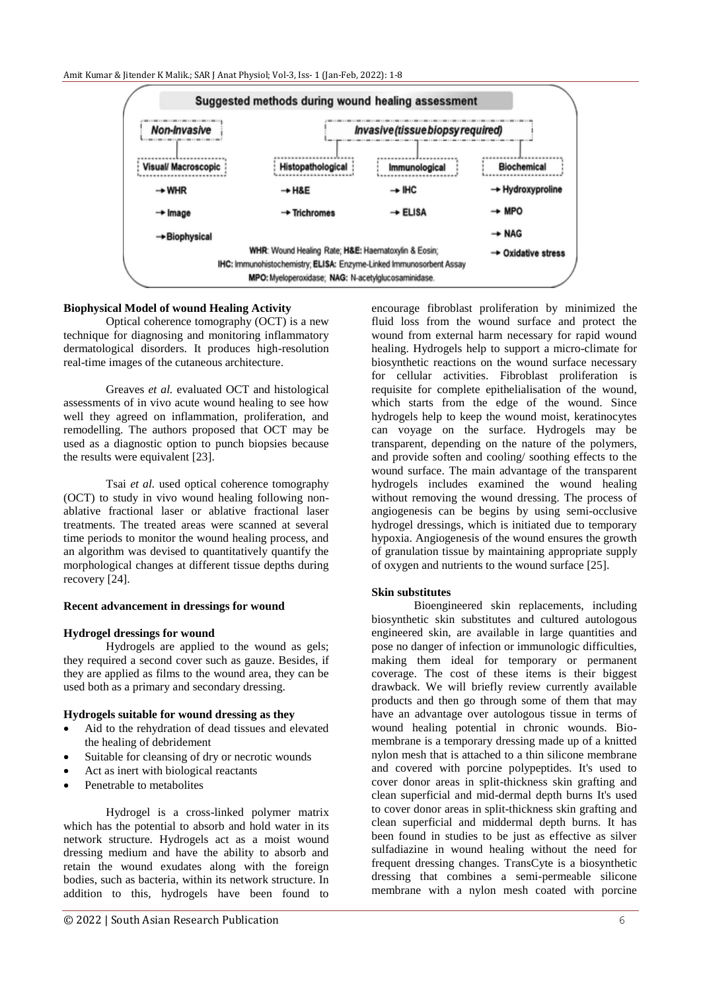

## **Biophysical Model of wound Healing Activity**

Optical coherence tomography (OCT) is a new technique for diagnosing and monitoring inflammatory dermatological disorders. It produces high-resolution real-time images of the cutaneous architecture.

Greaves *et al.* evaluated OCT and histological assessments of in vivo acute wound healing to see how well they agreed on inflammation, proliferation, and remodelling. The authors proposed that OCT may be used as a diagnostic option to punch biopsies because the results were equivalent [23].

Tsai *et al.* used optical coherence tomography (OCT) to study in vivo wound healing following nonablative fractional laser or ablative fractional laser treatments. The treated areas were scanned at several time periods to monitor the wound healing process, and an algorithm was devised to quantitatively quantify the morphological changes at different tissue depths during recovery [24].

#### **Recent advancement in dressings for wound**

#### **Hydrogel dressings for wound**

Hydrogels are applied to the wound as gels; they required a second cover such as gauze. Besides, if they are applied as films to the wound area, they can be used both as a primary and secondary dressing.

#### **Hydrogels suitable for wound dressing as they**

- Aid to the rehydration of dead tissues and elevated the healing of debridement
- Suitable for cleansing of dry or necrotic wounds
- Act as inert with biological reactants
- Penetrable to metabolites

Hydrogel is a cross-linked polymer matrix which has the potential to absorb and hold water in its network structure. Hydrogels act as a moist wound dressing medium and have the ability to absorb and retain the wound exudates along with the foreign bodies, such as bacteria, within its network structure. In addition to this, hydrogels have been found to encourage fibroblast proliferation by minimized the fluid loss from the wound surface and protect the wound from external harm necessary for rapid wound healing. Hydrogels help to support a micro-climate for biosynthetic reactions on the wound surface necessary for cellular activities. Fibroblast proliferation is requisite for complete epithelialisation of the wound, which starts from the edge of the wound. Since hydrogels help to keep the wound moist, keratinocytes can voyage on the surface. Hydrogels may be transparent, depending on the nature of the polymers, and provide soften and cooling/ soothing effects to the wound surface. The main advantage of the transparent hydrogels includes examined the wound healing without removing the wound dressing. The process of angiogenesis can be begins by using semi-occlusive hydrogel dressings, which is initiated due to temporary hypoxia. Angiogenesis of the wound ensures the growth of granulation tissue by maintaining appropriate supply of oxygen and nutrients to the wound surface [25].

## **Skin substitutes**

Bioengineered skin replacements, including biosynthetic skin substitutes and cultured autologous engineered skin, are available in large quantities and pose no danger of infection or immunologic difficulties, making them ideal for temporary or permanent coverage. The cost of these items is their biggest drawback. We will briefly review currently available products and then go through some of them that may have an advantage over autologous tissue in terms of wound healing potential in chronic wounds. Biomembrane is a temporary dressing made up of a knitted nylon mesh that is attached to a thin silicone membrane and covered with porcine polypeptides. It's used to cover donor areas in split-thickness skin grafting and clean superficial and mid-dermal depth burns It's used to cover donor areas in split-thickness skin grafting and clean superficial and middermal depth burns. It has been found in studies to be just as effective as silver sulfadiazine in wound healing without the need for frequent dressing changes. TransCyte is a biosynthetic dressing that combines a semi-permeable silicone membrane with a nylon mesh coated with porcine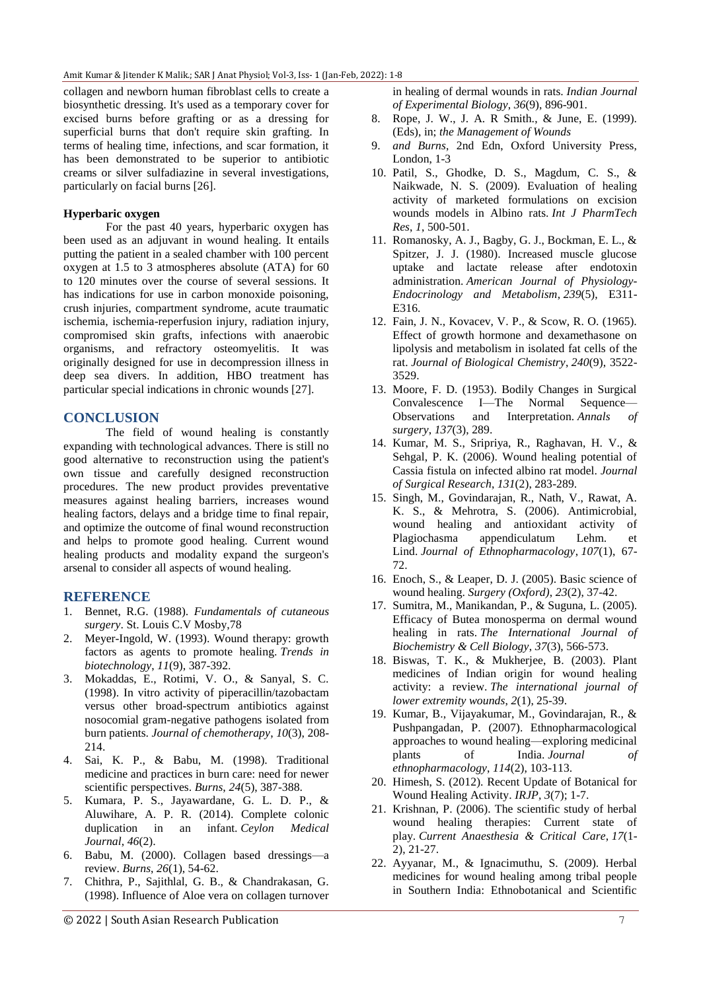collagen and newborn human fibroblast cells to create a biosynthetic dressing. It's used as a temporary cover for excised burns before grafting or as a dressing for superficial burns that don't require skin grafting. In terms of healing time, infections, and scar formation, it has been demonstrated to be superior to antibiotic creams or silver sulfadiazine in several investigations, particularly on facial burns [26].

### **Hyperbaric oxygen**

For the past 40 years, hyperbaric oxygen has been used as an adjuvant in wound healing. It entails putting the patient in a sealed chamber with 100 percent oxygen at 1.5 to 3 atmospheres absolute (ATA) for 60 to 120 minutes over the course of several sessions. It has indications for use in carbon monoxide poisoning, crush injuries, compartment syndrome, acute traumatic ischemia, ischemia-reperfusion injury, radiation injury, compromised skin grafts, infections with anaerobic organisms, and refractory osteomyelitis. It was originally designed for use in decompression illness in deep sea divers. In addition, HBO treatment has particular special indications in chronic wounds [27].

## **CONCLUSION**

The field of wound healing is constantly expanding with technological advances. There is still no good alternative to reconstruction using the patient's own tissue and carefully designed reconstruction procedures. The new product provides preventative measures against healing barriers, increases wound healing factors, delays and a bridge time to final repair, and optimize the outcome of final wound reconstruction and helps to promote good healing. Current wound healing products and modality expand the surgeon's arsenal to consider all aspects of wound healing.

## **REFERENCE**

- 1. Bennet, R.G. (1988). *Fundamentals of cutaneous surgery*. St. Louis C.V Mosby,78
- 2. Meyer-Ingold, W. (1993). Wound therapy: growth factors as agents to promote healing. *Trends in biotechnology*, *11*(9), 387-392.
- 3. Mokaddas, E., Rotimi, V. O., & Sanyal, S. C. (1998). In vitro activity of piperacillin/tazobactam versus other broad-spectrum antibiotics against nosocomial gram-negative pathogens isolated from burn patients. *Journal of chemotherapy*, *10*(3), 208- 214.
- 4. Sai, K. P., & Babu, M. (1998). Traditional medicine and practices in burn care: need for newer scientific perspectives. *Burns*, *24*(5), 387-388.
- 5. Kumara, P. S., Jayawardane, G. L. D. P., & Aluwihare, A. P. R. (2014). Complete colonic duplication in an infant. *Ceylon Medical Journal*, *46*(2).
- 6. Babu, M. (2000). Collagen based dressings—a review. *Burns*, *26*(1), 54-62.
- 7. Chithra, P., Sajithlal, G. B., & Chandrakasan, G. (1998). Influence of Aloe vera on collagen turnover

in healing of dermal wounds in rats. *Indian Journal of Experimental Biology*, *36*(9), 896-901.

- 8. Rope, J. W., J. A. R Smith., & June, E. (1999). (Eds), in; *the Management of Wounds*
- 9. *and Burns*, 2nd Edn, Oxford University Press, London, 1-3
- 10. Patil, S., Ghodke, D. S., Magdum, C. S., & Naikwade, N. S. (2009). Evaluation of healing activity of marketed formulations on excision wounds models in Albino rats. *Int J PharmTech Res*, *1*, 500-501.
- 11. Romanosky, A. J., Bagby, G. J., Bockman, E. L., & Spitzer, J. J. (1980). Increased muscle glucose uptake and lactate release after endotoxin administration. *American Journal of Physiology-Endocrinology and Metabolism*, *239*(5), E311- E316.
- 12. Fain, J. N., Kovacev, V. P., & Scow, R. O. (1965). Effect of growth hormone and dexamethasone on lipolysis and metabolism in isolated fat cells of the rat. *Journal of Biological Chemistry*, *240*(9), 3522- 3529.
- 13. Moore, F. D. (1953). Bodily Changes in Surgical Convalescence I—The Normal Sequence— Observations and Interpretation. *Annals of surgery*, *137*(3), 289.
- 14. Kumar, M. S., Sripriya, R., Raghavan, H. V., & Sehgal, P. K. (2006). Wound healing potential of Cassia fistula on infected albino rat model. *Journal of Surgical Research*, *131*(2), 283-289.
- 15. Singh, M., Govindarajan, R., Nath, V., Rawat, A. K. S., & Mehrotra, S. (2006). Antimicrobial, wound healing and antioxidant activity of Plagiochasma appendiculatum Lehm. et Lind. *Journal of Ethnopharmacology*, *107*(1), 67- 72.
- 16. Enoch, S., & Leaper, D. J. (2005). Basic science of wound healing. *Surgery (Oxford)*, *23*(2), 37-42.
- 17. Sumitra, M., Manikandan, P., & Suguna, L. (2005). Efficacy of Butea monosperma on dermal wound healing in rats. *The International Journal of Biochemistry & Cell Biology*, *37*(3), 566-573.
- 18. Biswas, T. K., & Mukherjee, B. (2003). Plant medicines of Indian origin for wound healing activity: a review. *The international journal of lower extremity wounds*, *2*(1), 25-39.
- 19. Kumar, B., Vijayakumar, M., Govindarajan, R., & Pushpangadan, P. (2007). Ethnopharmacological approaches to wound healing—exploring medicinal plants of India. *Journal of ethnopharmacology*, *114*(2), 103-113.
- 20. Himesh, S. (2012). Recent Update of Botanical for Wound Healing Activity. *IRJP, 3*(7); 1-7.
- 21. Krishnan, P. (2006). The scientific study of herbal wound healing therapies: Current state of play. *Current Anaesthesia & Critical Care*, *17*(1- 2), 21-27.
- 22. Ayyanar, M., & Ignacimuthu, S. (2009). Herbal medicines for wound healing among tribal people in Southern India: Ethnobotanical and Scientific